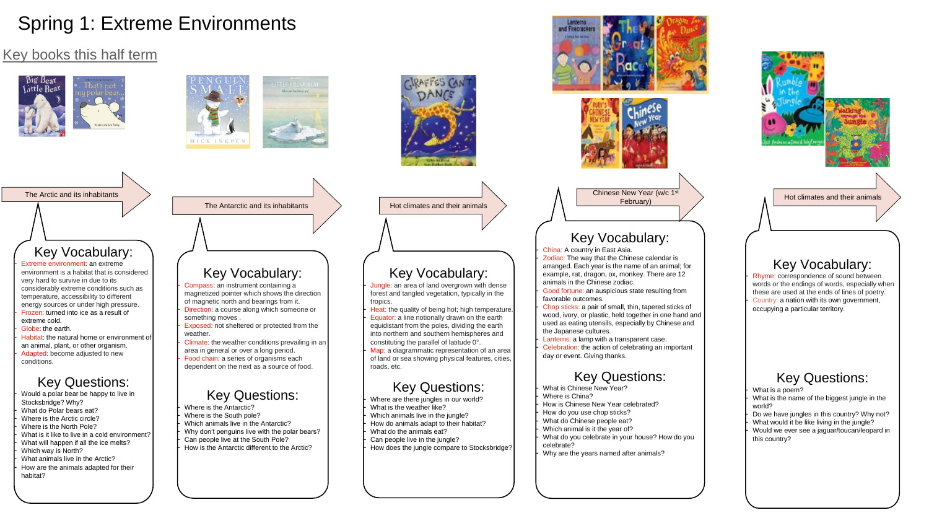# Spring 1: Extreme Environments

## Key books this half term











The Arctic and its inhabitants

Chinese New Year (w/c 1<sup>st</sup> February)

Hot climates and their animals

## Key Vocabulary:

- Compass: an instrument containing a magnetized pointer which shows the direction of magnetic north and bearings from it.
- Direction: a course along which someone or something moves .
- Exposed: not sheltered or protected from the weather
- Climate: the weather conditions prevailing in an area in general or over a long period.
- Food chain: a series of organisms each dependent on the next as a source of food.

Jungle: an area of land overgrown with dense forest and tangled vegetation, typically in the

Heat: the quality of being hot; high temperature. Equator: a line notionally drawn on the earth equidistant from the poles, dividing the earth into northern and southern hemispheres and

## Key Questions:

- Where is the Antarctic?
- Where is the South pole?
- Which animals live in the Antarctic?
- Why don't penguins live with the polar bears?
- Can people live at the South Pole?
- How is the Antarctic different to the Arctic?

Map: a diagrammatic representation of an area of land or sea showing physical features, cities,

Where are there jungles in our world? What is the weather like? Which animals live in the jungle? - How do animals adapt to their habitat? What do the animals eat? Can people live in the jungle? - How does the jungle compare to Stocksbridge?



The Antarctic and its inhabitants  $\longrightarrow$  Hot climates and their animals

## Key Vocabulary:

Celebration: the action of celebrating an important day or event. Giving thanks.

- tropics.
- constituting the parallel of latitude 0°. roads, etc.

## Key Questions:





Rhyme: correspondence of sound between words or the endings of words, especially when these are used at the ends of lines of poetry. Country: a nation with its own government, occupying a particular territory.

What is the name of the biggest jungle in the world?

Do we have jungles in this country? Why not? What would it be like living in the jungle? Would we ever see a jaguar/toucan/leopard in this country?

# Key Vocabulary:

**China: A country in East Asia.** 

- Zodiac: The way that the Chinese calendar is arranged. Each year is the name of an animal; for example, rat, dragon, ox, monkey. There are 12 animals in the Chinese zodiac.
- Good fortune: an auspicious state resulting from favorable outcomes.
- Chop sticks: a pair of small, thin, tapered sticks of wood, ivory, or plastic, held together in one hand and used as eating utensils, especially by Chinese and the Japanese cultures.
- Lanterns: a lamp with a transparent case.

Extreme environment: an extreme environment is a habitat that is considered very hard to survive in due to its considerably extreme conditions such as temperature, accessibility to different energy sources or under high pressure. Frozen: turned into ice as a result of extreme cold.

Globe: the earth.

Habitat: the natural home or environment of an animal, plant, or other organism. Adapted: become adjusted to new conditions.

- Would a polar bear be happy to live in Stocksbridge? Why?
- What do Polar bears eat?
- Where is the Arctic circle?
- Where is the North Pole?
- What is it like to live in a cold environment?
- What will happen if all the ice melts?
- Which way is North?
- What animals live in the Arctic?
- How are the animals adapted for their habitat?

## Key Questions:

- What is Chinese New Year?
- Where is China?
- How is Chinese New Year celebrated?
- How do you use chop sticks?
- What do Chinese people eat?
- Which animal is it the year of?
- What do you celebrate in your house? How do you celebrate?
- Why are the years named after animals?





## Key Vocabulary:

## Key Questions:

What is a poem?

## Key Vocabulary:

## Key Questions: